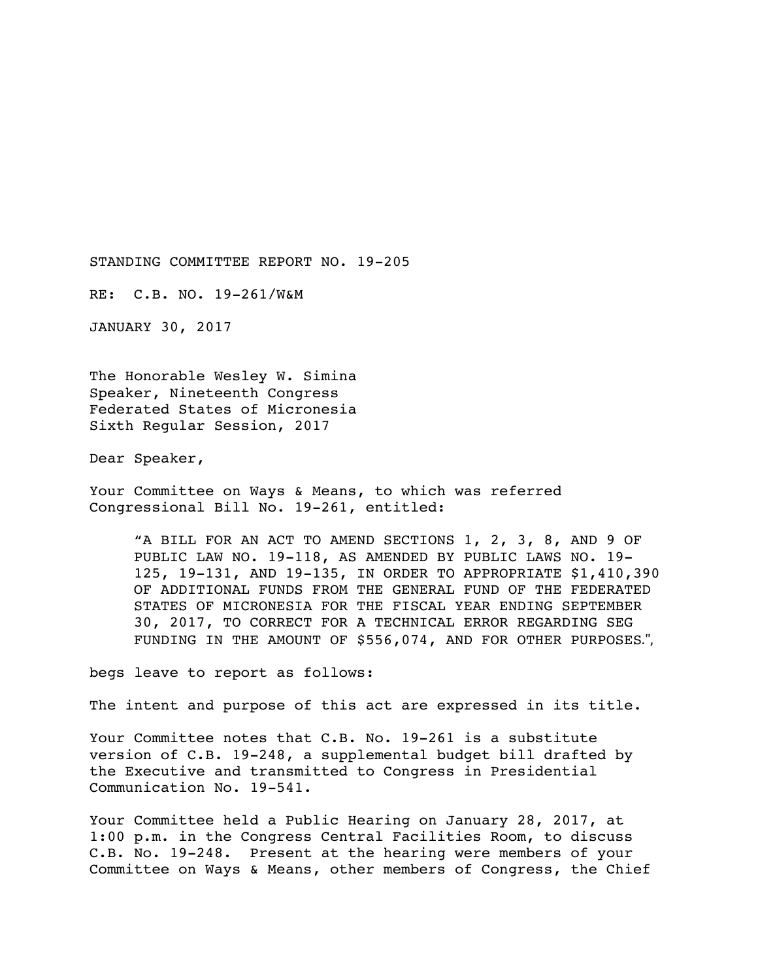STANDING COMMITTEE REPORT NO. 19-205

RE: C.B. NO. 19-261/W&M

JANUARY 30, 2017

The Honorable Wesley W. Simina Speaker, Nineteenth Congress Federated States of Micronesia Sixth Regular Session, 2017

Dear Speaker,

Your Committee on Ways & Means, to which was referred Congressional Bill No. 19-261, entitled:

"A BILL FOR AN ACT TO AMEND SECTIONS 1, 2, 3, 8, AND 9 OF PUBLIC LAW NO. 19-118, AS AMENDED BY PUBLIC LAWS NO. 19- 125, 19-131, AND 19-135, IN ORDER TO APPROPRIATE \$1,410,390 OF ADDITIONAL FUNDS FROM THE GENERAL FUND OF THE FEDERATED STATES OF MICRONESIA FOR THE FISCAL YEAR ENDING SEPTEMBER 30, 2017, TO CORRECT FOR A TECHNICAL ERROR REGARDING SEG FUNDING IN THE AMOUNT OF \$556,074, AND FOR OTHER PURPOSES.",

begs leave to report as follows:

The intent and purpose of this act are expressed in its title.

Your Committee notes that C.B. No. 19-261 is a substitute version of C.B. 19-248, a supplemental budget bill drafted by the Executive and transmitted to Congress in Presidential Communication No. 19-541.

Your Committee held a Public Hearing on January 28, 2017, at 1:00 p.m. in the Congress Central Facilities Room, to discuss C.B. No. 19-248. Present at the hearing were members of your Committee on Ways & Means, other members of Congress, the Chief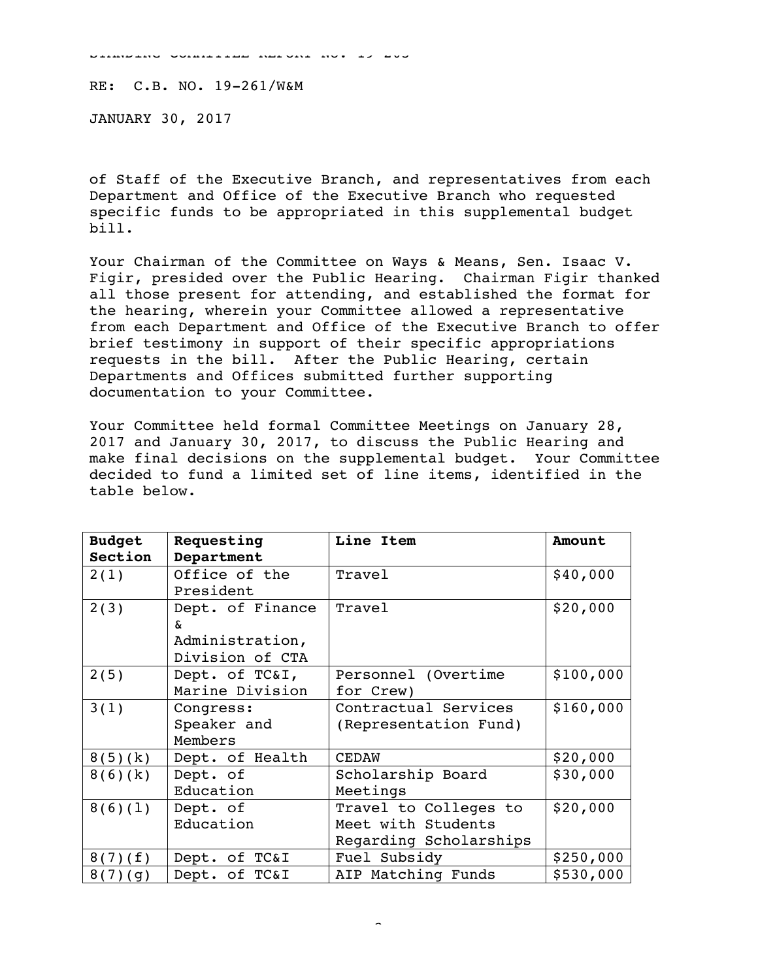SINDING COMMITTEE REPORT NO. 19-205-205

RE: C.B. NO. 19-261/W&M

JANUARY 30, 2017

of Staff of the Executive Branch, and representatives from each Department and Office of the Executive Branch who requested specific funds to be appropriated in this supplemental budget bill.

Your Chairman of the Committee on Ways & Means, Sen. Isaac V. Figir, presided over the Public Hearing. Chairman Figir thanked all those present for attending, and established the format for the hearing, wherein your Committee allowed a representative from each Department and Office of the Executive Branch to offer brief testimony in support of their specific appropriations requests in the bill. After the Public Hearing, certain Departments and Offices submitted further supporting documentation to your Committee.

Your Committee held formal Committee Meetings on January 28, 2017 and January 30, 2017, to discuss the Public Hearing and make final decisions on the supplemental budget. Your Committee decided to fund a limited set of line items, identified in the table below.

| <b>Budget</b> | Requesting       | Line Item              | Amount    |
|---------------|------------------|------------------------|-----------|
| Section       | Department       |                        |           |
| 2(1)          | Office of the    | Travel                 | \$40,000  |
|               | President        |                        |           |
| 2(3)          | Dept. of Finance | Travel                 | \$20,000  |
|               | δr.              |                        |           |
|               | Administration,  |                        |           |
|               | Division of CTA  |                        |           |
| 2(5)          | Dept. of TC&I,   | Personnel (Overtime    | \$100,000 |
|               | Marine Division  | for Crew)              |           |
| 3(1)          | Congress:        | Contractual Services   | \$160,000 |
|               | Speaker and      | (Representation Fund)  |           |
|               | Members          |                        |           |
| 8(5)(k)       | Dept. of Health  | <b>CEDAW</b>           | \$20,000  |
| 8(6)(k)       | Dept. of         | Scholarship Board      | \$30,000  |
|               | Education        | Meetings               |           |
| 8(6)(1)       | Dept. of         | Travel to Colleges to  | \$20,000  |
|               | Education        | Meet with Students     |           |
|               |                  | Regarding Scholarships |           |
| 8(7)(f)       | Dept. of TC&I    | Fuel Subsidy           | \$250,000 |
| 8(7)(9)       | Dept. of TC&I    | AIP Matching Funds     | \$530,000 |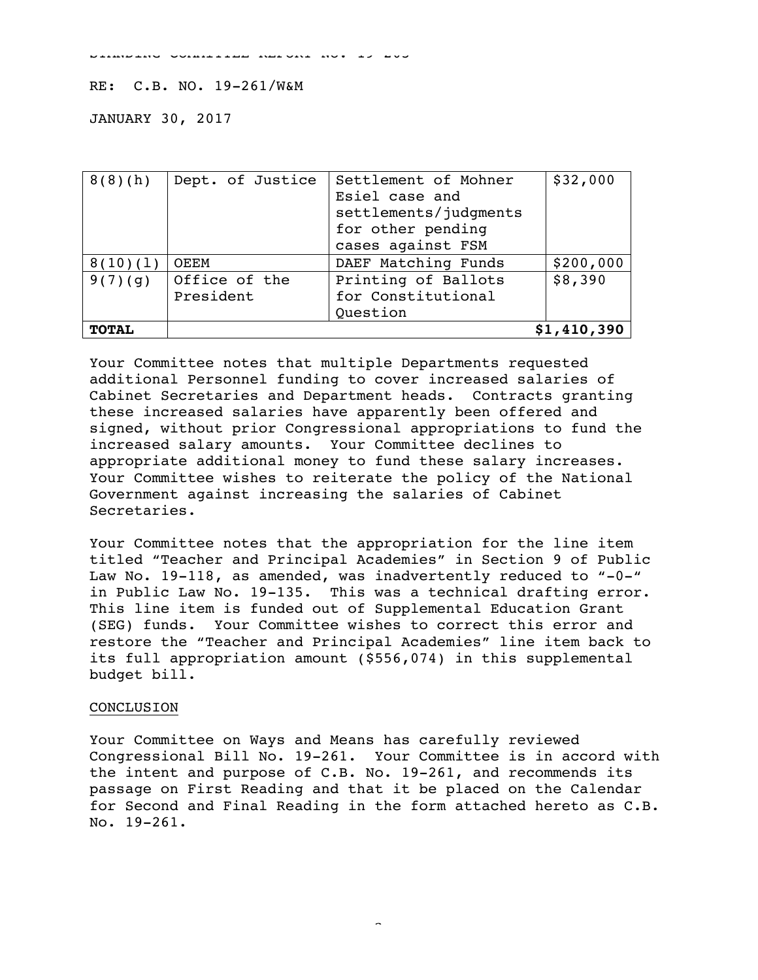STANDING COMMITTEE REPORT NO. 19-205

## RE: C.B. NO. 19-261/W&M

JANUARY 30, 2017

| 8(8)(h)      | Dept. of Justice | Settlement of Mohner  | \$32,000  |
|--------------|------------------|-----------------------|-----------|
|              |                  | Esiel case and        |           |
|              |                  | settlements/judgments |           |
|              |                  | for other pending     |           |
|              |                  | cases against FSM     |           |
| 8(10)(1)     | OEEM             | DAEF Matching Funds   | \$200,000 |
| 9(7)(9)      | Office of the    | Printing of Ballots   | \$8,390   |
|              | President        | for Constitutional    |           |
|              |                  | Ouestion              |           |
| <b>TOTAL</b> | \$1,410,390      |                       |           |

Your Committee notes that multiple Departments requested additional Personnel funding to cover increased salaries of Cabinet Secretaries and Department heads. Contracts granting these increased salaries have apparently been offered and signed, without prior Congressional appropriations to fund the increased salary amounts. Your Committee declines to appropriate additional money to fund these salary increases. Your Committee wishes to reiterate the policy of the National Government against increasing the salaries of Cabinet Secretaries.

Your Committee notes that the appropriation for the line item titled "Teacher and Principal Academies" in Section 9 of Public Law No. 19-118, as amended, was inadvertently reduced to "-0-" in Public Law No. 19-135. This was a technical drafting error. This line item is funded out of Supplemental Education Grant (SEG) funds. Your Committee wishes to correct this error and restore the "Teacher and Principal Academies" line item back to its full appropriation amount (\$556,074) in this supplemental budget bill.

## CONCLUSION

Your Committee on Ways and Means has carefully reviewed Congressional Bill No. 19-261. Your Committee is in accord with the intent and purpose of C.B. No. 19-261, and recommends its passage on First Reading and that it be placed on the Calendar for Second and Final Reading in the form attached hereto as C.B. No. 19-261.